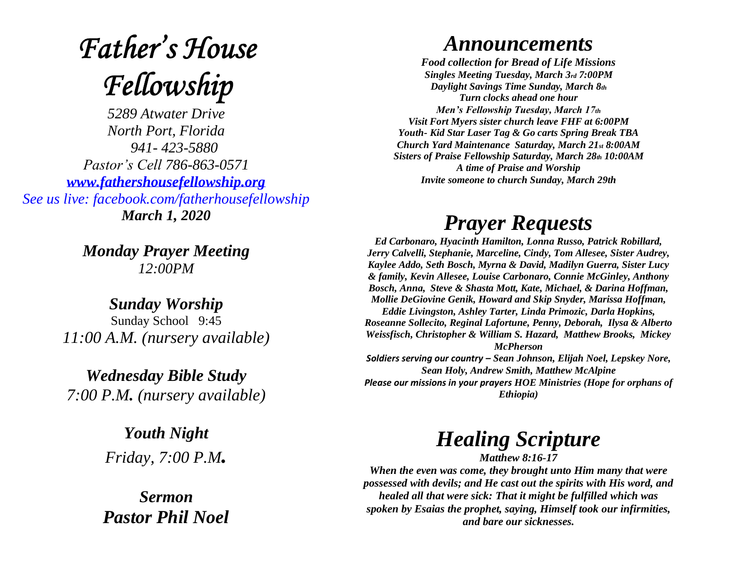# **Father's House** Fellowship

*5289 Atwater Drive North Port, Florida 941- 423-5880 Pastor's Cell 786-863-0571 [www.fathershousefellowship.org](http://www.fathershousefellowship.org/) See us live: facebook.com/fatherhousefellowship March 1, 2020*

> *Monday Prayer Meeting 12:00PM*

*Sunday Worship* Sunday School 9:45 *11:00 A.M. (nursery available)*

*Wednesday Bible Study 7:00 P.M. (nursery available)*

> *Youth Night Friday, 7:00 P.M.*

*Sermon Pastor Phil Noel*

#### *Announcements*

*Food collection for Bread of Life Missions Singles Meeting Tuesday, March 3rd 7:00PM Daylight Savings Time Sunday, March 8th Turn clocks ahead one hour Men's Fellowship Tuesday, March 17th Visit Fort Myers sister church leave FHF at 6:00PM Youth- Kid Star Laser Tag & Go carts Spring Break TBA Church Yard Maintenance Saturday, March 21st 8:00AM Sisters of Praise Fellowship Saturday, March 28th 10:00AM A time of Praise and Worship Invite someone to church Sunday, March 29th*

### *Prayer Requests*

*Ed Carbonaro, Hyacinth Hamilton, Lonna Russo, Patrick Robillard, Jerry Calvelli, Stephanie, Marceline, Cindy, Tom Allesee, Sister Audrey, Kaylee Addo, Seth Bosch, Myrna & David, Madilyn Guerra, Sister Lucy & family, Kevin Allesee, Louise Carbonaro, Connie McGinley, Anthony Bosch, Anna, Steve & Shasta Mott, Kate, Michael, & Darina Hoffman, Mollie DeGiovine Genik, Howard and Skip Snyder, Marissa Hoffman, Eddie Livingston, Ashley Tarter, Linda Primozic, Darla Hopkins, Roseanne Sollecito, Reginal Lafortune, Penny, Deborah, Ilysa & Alberto Weissfisch, Christopher & William S. Hazard, Matthew Brooks, Mickey McPherson Soldiers serving our country – Sean Johnson, Elijah Noel, Lepskey Nore, Sean Holy, Andrew Smith, Matthew McAlpine Please our missions in your prayers HOE Ministries (Hope for orphans of* 

*Ethiopia)*

## *Healing Scripture*

*Matthew 8:16-17 When the even was come, they brought unto Him many that were possessed with devils; and He cast out the spirits with His word, and healed all that were sick: That it might be fulfilled which was spoken by Esaias the prophet, saying, Himself took our infirmities, and bare our sicknesses.*